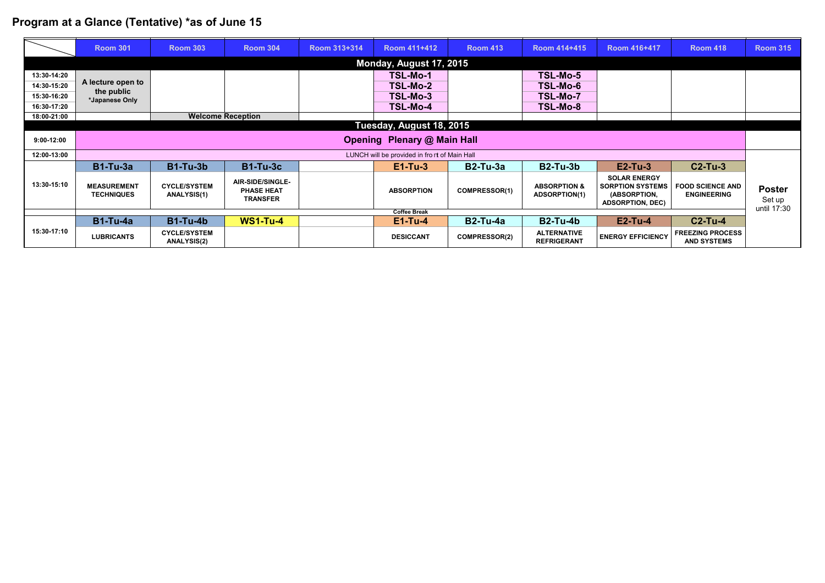## **Program at a Glance (Tentative) \*as of June 15**

|                         | <b>Room 301</b>                              | <b>Room 303</b>                           | <b>Room 304</b>                                                 | Room 313+314 | <b>Room 411+412</b> | <b>Room 413</b>      | <b>Room 414+415</b>                             | <b>Room 416+417</b>                                                                       | <b>Room 418</b>                               | <b>Room 315</b>                        |  |  |
|-------------------------|----------------------------------------------|-------------------------------------------|-----------------------------------------------------------------|--------------|---------------------|----------------------|-------------------------------------------------|-------------------------------------------------------------------------------------------|-----------------------------------------------|----------------------------------------|--|--|
| Monday, August 17, 2015 |                                              |                                           |                                                                 |              |                     |                      |                                                 |                                                                                           |                                               |                                        |  |  |
| 13:30-14:20             |                                              |                                           |                                                                 |              | TSL-Mo-1            |                      | TSL-Mo-5                                        |                                                                                           |                                               |                                        |  |  |
| 14:30-15:20             | A lecture open to                            |                                           |                                                                 |              | TSL-Mo-2            |                      | <b>TSL-Mo-6</b>                                 |                                                                                           |                                               |                                        |  |  |
| 15:30-16:20             | the public<br>*Japanese Only                 |                                           |                                                                 |              | TSL-Mo-3            |                      | <b>TSL-Mo-7</b>                                 |                                                                                           |                                               |                                        |  |  |
| 16:30-17:20             |                                              |                                           |                                                                 |              | TSL-Mo-4            |                      | <b>TSL-Mo-8</b>                                 |                                                                                           |                                               |                                        |  |  |
| 18:00-21:00             |                                              |                                           | <b>Welcome Reception</b>                                        |              |                     |                      |                                                 |                                                                                           |                                               |                                        |  |  |
|                         | Tuesday, August 18, 2015                     |                                           |                                                                 |              |                     |                      |                                                 |                                                                                           |                                               |                                        |  |  |
| $9:00-12:00$            | <b>Opening Plenary @ Main Hall</b>           |                                           |                                                                 |              |                     |                      |                                                 |                                                                                           |                                               |                                        |  |  |
| 12:00-13:00             | LUNCH will be provided in front of Main Hall |                                           |                                                                 |              |                     |                      |                                                 |                                                                                           |                                               |                                        |  |  |
| 13:30-15:10             | <b>B1-Tu-3a</b>                              | <b>B1-Tu-3b</b>                           | <b>B1-Tu-3c</b>                                                 |              | $E1-Tu-3$           | $B2-Tu-3a$           | <b>B2-Tu-3b</b>                                 | $E2-Tu-3$                                                                                 | $C2-Tu-3$                                     |                                        |  |  |
|                         | <b>MEASUREMENT</b><br><b>TECHNIQUES</b>      | <b>CYCLE/SYSTEM</b><br><b>ANALYSIS(1)</b> | <b>AIR-SIDE/SINGLE-</b><br><b>PHASE HEAT</b><br><b>TRANSFER</b> |              | <b>ABSORPTION</b>   | <b>COMPRESSOR(1)</b> | <b>ABSORPTION &amp;</b><br><b>ADSORPTION(1)</b> | <b>SOLAR ENERGY</b><br><b>SORPTION SYSTEMS</b><br>(ABSORPTION,<br><b>ADSORPTION, DEC)</b> | <b>FOOD SCIENCE AND</b><br><b>ENGINEERING</b> | <b>Poster</b><br>Set up<br>until 17:30 |  |  |
|                         | <b>Coffee Break</b>                          |                                           |                                                                 |              |                     |                      |                                                 |                                                                                           |                                               |                                        |  |  |
|                         | <b>B1-Tu-4a</b>                              | $B1-Tu-4b$                                | <b>WS1-Tu-4</b>                                                 |              | $E1-Tu-4$           | <b>B2-Tu-4a</b>      | $B2-Tu-4b$                                      | $E2-Tu-4$                                                                                 | $C2-Tu-4$                                     |                                        |  |  |
| 15:30-17:10             | <b>LUBRICANTS</b>                            | <b>CYCLE/SYSTEM</b><br><b>ANALYSIS(2)</b> |                                                                 |              | <b>DESICCANT</b>    | <b>COMPRESSOR(2)</b> | <b>ALTERNATIVE</b><br><b>REFRIGERANT</b>        | <b>ENERGY EFFICIENCY</b>                                                                  | <b>FREEZING PROCESS</b><br><b>AND SYSTEMS</b> |                                        |  |  |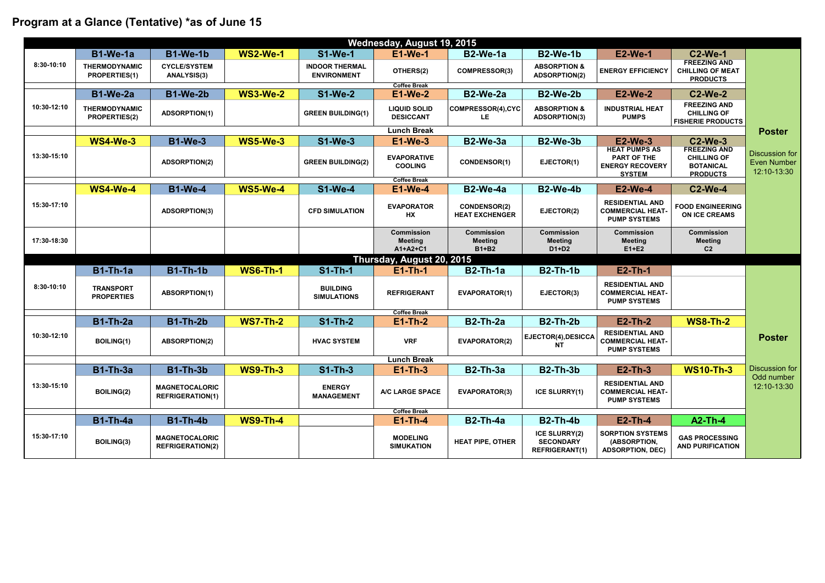| Wednesday, August 19, 2015 |                                              |                                                  |                 |                                             |                                                 |                                                     |                                                                   |                                                                                       |                                                                                  |                                                     |
|----------------------------|----------------------------------------------|--------------------------------------------------|-----------------|---------------------------------------------|-------------------------------------------------|-----------------------------------------------------|-------------------------------------------------------------------|---------------------------------------------------------------------------------------|----------------------------------------------------------------------------------|-----------------------------------------------------|
|                            | $B1-We-1a$                                   | <b>B1-We-1b</b>                                  | <b>WS2-We-1</b> | <b>S1-We-1</b>                              | <b>E1-We-1</b>                                  | $B2-We-1a$                                          | <b>B2-We-1b</b>                                                   | <b>E2-We-1</b>                                                                        | <b>C2-We-1</b>                                                                   |                                                     |
| 8:30-10:10                 | <b>THERMODYNAMIC</b><br><b>PROPERTIES(1)</b> | <b>CYCLE/SYSTEM</b><br><b>ANALYSIS(3)</b>        |                 | <b>INDOOR THERMAL</b><br><b>ENVIRONMENT</b> | <b>OTHERS(2)</b>                                | <b>COMPRESSOR(3)</b>                                | <b>ABSORPTION &amp;</b><br><b>ADSORPTION(2)</b>                   | <b>ENERGY EFFICIENCY</b>                                                              | <b>FREEZING AND</b><br><b>CHILLING OF MEAT</b><br><b>PRODUCTS</b>                |                                                     |
| <b>Coffee Break</b>        |                                              |                                                  |                 |                                             |                                                 |                                                     |                                                                   |                                                                                       |                                                                                  |                                                     |
| 10:30-12:10                | <b>B1-We-2a</b>                              | <b>B1-We-2b</b>                                  | <b>WS3-We-2</b> | <b>S1-We-2</b>                              | $E1-We-2$                                       | B2-We-2a                                            | <b>B2-We-2b</b>                                                   | <b>E2-We-2</b>                                                                        | <b>C2-We-2</b>                                                                   |                                                     |
|                            | THERMODYNAMIC<br><b>PROPERTIES(2)</b>        | <b>ADSORPTION(1)</b>                             |                 | <b>GREEN BUILDING(1)</b>                    | <b>LIQUID SOLID</b><br><b>DESICCANT</b>         | <b>COMPRESSOR(4),CYC</b><br>LE                      | <b>ABSORPTION &amp;</b><br><b>ADSORPTION(3)</b>                   | <b>INDUSTRIAL HEAT</b><br><b>PUMPS</b>                                                | <b>FREEZING AND</b><br><b>CHILLING OF</b><br><b>FISHERIE PRODUCTS</b>            |                                                     |
|                            |                                              |                                                  |                 |                                             | <b>Lunch Break</b>                              |                                                     |                                                                   |                                                                                       |                                                                                  | <b>Poster</b>                                       |
|                            | <b>WS4-We-3</b>                              | <b>B1-We-3</b>                                   | <b>WS5-We-3</b> | <b>S1-We-3</b>                              | $E1-We-3$                                       | $B2-We-3a$                                          | <b>B2-We-3b</b>                                                   | $E2-We-3$                                                                             | $C2-We-3$                                                                        |                                                     |
| 13:30-15:10                |                                              | <b>ADSORPTION(2)</b>                             |                 | <b>GREEN BUILDING(2)</b>                    | <b>EVAPORATIVE</b><br><b>COOLING</b>            | <b>CONDENSOR(1)</b>                                 | EJECTOR(1)                                                        | <b>HEAT PUMPS AS</b><br><b>PART OF THE</b><br><b>ENERGY RECOVERY</b><br><b>SYSTEM</b> | <b>FREEZING AND</b><br><b>CHILLING OF</b><br><b>BOTANICAL</b><br><b>PRODUCTS</b> | Discussion for<br><b>Even Number</b><br>12:10-13:30 |
|                            | WS4-We-4                                     | <b>B1-We-4</b>                                   | <b>WS5-We-4</b> | <b>S1-We-4</b>                              | <b>Coffee Break</b><br>$E1-We-4$                | <b>B2-We-4a</b>                                     | B2-We-4b                                                          | $E2-We-4$                                                                             | <b>C2-We-4</b>                                                                   |                                                     |
| 15:30-17:10                |                                              | <b>ADSORPTION(3)</b>                             |                 | <b>CFD SIMULATION</b>                       | <b>EVAPORATOR</b><br>HX                         | <b>CONDENSOR(2)</b><br><b>HEAT EXCHENGER</b>        | <b>EJECTOR(2)</b>                                                 | <b>RESIDENTIAL AND</b><br><b>COMMERCIAL HEAT-</b><br><b>PUMP SYSTEMS</b>              | <b>FOOD ENGINEERING</b><br><b>ON ICE CREAMS</b>                                  |                                                     |
| 17:30-18:30                |                                              |                                                  |                 |                                             | <b>Commission</b><br><b>Meeting</b><br>A1+A2+C1 | <b>Commission</b><br><b>Meeting</b><br><b>B1+B2</b> | <b>Commission</b><br><b>Meeting</b><br>$D1+D2$                    | <b>Commission</b><br><b>Meeting</b><br>$E1+E2$                                        | <b>Commission</b><br><b>Meeting</b><br>C <sub>2</sub>                            |                                                     |
|                            |                                              |                                                  |                 |                                             | Thursday, August 20, 2015                       |                                                     |                                                                   |                                                                                       |                                                                                  |                                                     |
|                            | $B1$ -Th-1a                                  | $B1$ -Th-1b                                      | <b>WS6-Th-1</b> | $S1$ -Th-1                                  | $E1-Th-1$                                       | $B2$ -Th-1a                                         | <b>B2-Th-1b</b>                                                   | $E2-Th-1$                                                                             |                                                                                  |                                                     |
| 8:30-10:10                 | <b>TRANSPORT</b><br><b>PROPERTIES</b>        | <b>ABSORPTION(1)</b>                             |                 | <b>BUILDING</b><br><b>SIMULATIONS</b>       | <b>REFRIGERANT</b>                              | <b>EVAPORATOR(1)</b>                                | EJECTOR(3)                                                        | <b>RESIDENTIAL AND</b><br><b>COMMERCIAL HEAT-</b><br><b>PUMP SYSTEMS</b>              |                                                                                  |                                                     |
| <b>Coffee Break</b>        |                                              |                                                  |                 |                                             |                                                 |                                                     |                                                                   |                                                                                       |                                                                                  |                                                     |
| 10:30-12:10                | <b>B1-Th-2a</b>                              | <b>B1-Th-2b</b>                                  | <b>WS7-Th-2</b> | $S1$ -Th-2                                  | $E1-Th-2$                                       | <b>B2-Th-2a</b>                                     | <b>B2-Th-2b</b>                                                   | $E2$ -Th-2                                                                            | <b>WS8-Th-2</b>                                                                  |                                                     |
|                            | <b>BOILING(1)</b>                            | <b>ABSORPTION(2)</b>                             |                 | <b>HVAC SYSTEM</b>                          | <b>VRF</b>                                      | <b>EVAPORATOR(2)</b>                                | $ \,$ EJECTOR(4),DESICCA $ $<br><b>NT</b>                         | <b>RESIDENTIAL AND</b><br><b>COMMERCIAL HEAT-</b><br><b>PUMP SYSTEMS</b>              |                                                                                  | <b>Poster</b>                                       |
| <b>Lunch Break</b>         |                                              |                                                  |                 |                                             |                                                 |                                                     |                                                                   |                                                                                       |                                                                                  |                                                     |
| 13:30-15:10                | <b>B1-Th-3a</b>                              | <b>B1-Th-3b</b>                                  | <b>WS9-Th-3</b> | $S1$ -Th-3                                  | $E1-Th-3$                                       | $B2$ -Th- $3a$                                      | <b>B2-Th-3b</b>                                                   | $E2$ -Th-3                                                                            | <b>WS10-Th-3</b>                                                                 | Discussion for                                      |
|                            | <b>BOILING(2)</b>                            | <b>MAGNETOCALORIC</b><br><b>REFRIGERATION(1)</b> |                 | <b>ENERGY</b><br><b>MANAGEMENT</b>          | A/C LARGE SPACE                                 | <b>EVAPORATOR(3)</b>                                | <b>ICE SLURRY(1)</b>                                              | <b>RESIDENTIAL AND</b><br><b>COMMERCIAL HEAT-</b><br><b>PUMP SYSTEMS</b>              |                                                                                  | Odd number<br>12:10-13:30                           |
|                            |                                              |                                                  |                 |                                             | <b>Coffee Break</b>                             |                                                     |                                                                   |                                                                                       |                                                                                  |                                                     |
|                            | <b>B1-Th-4a</b>                              | <b>B1-Th-4b</b>                                  | <b>WS9-Th-4</b> |                                             | $E1-Th-4$                                       | $B2$ -Th-4a                                         | <b>B2-Th-4b</b>                                                   | $E2$ -Th-4                                                                            | <b>A2-Th-4</b>                                                                   |                                                     |
| 15:30-17:10                | <b>BOILING(3)</b>                            | <b>MAGNETOCALORIC</b><br><b>REFRIGERATION(2)</b> |                 |                                             | <b>MODELING</b><br><b>SIMUKATION</b>            | <b>HEAT PIPE, OTHER</b>                             | <b>ICE SLURRY(2)</b><br><b>SECONDARY</b><br><b>REFRIGERANT(1)</b> | <b>SORPTION SYSTEMS</b><br>(ABSORPTION,<br><b>ADSORPTION, DEC)</b>                    | <b>GAS PROCESSING</b><br><b>AND PURIFICATION</b>                                 |                                                     |

## **Program at a Glance (Tentative) \*as of June 15**